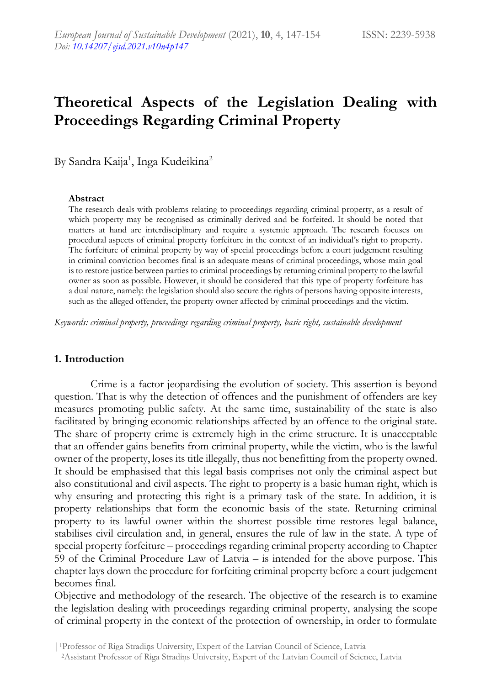# **Theoretical Aspects of the Legislation Dealing with Proceedings Regarding Criminal Property**

By Sandra Kaija<sup>1</sup>, Inga Kudeikina<sup>2</sup>

#### **Abstract**

The research deals with problems relating to proceedings regarding criminal property, as a result of which property may be recognised as criminally derived and be forfeited. It should be noted that matters at hand are interdisciplinary and require a systemic approach. The research focuses on procedural aspects of criminal property forfeiture in the context of an individual's right to property. The forfeiture of criminal property by way of special proceedings before a court judgement resulting in criminal conviction becomes final is an adequate means of criminal proceedings, whose main goal is to restore justice between parties to criminal proceedings by returning criminal property to the lawful owner as soon as possible. However, it should be considered that this type of property forfeiture has a dual nature, namely: the legislation should also secure the rights of persons having opposite interests, such as the alleged offender, the property owner affected by criminal proceedings and the victim.

*Keywords: criminal property, proceedings regarding criminal property, basic right, sustainable development*

#### **1. Introduction**

Crime is a factor jeopardising the evolution of society. This assertion is beyond question. That is why the detection of offences and the punishment of offenders are key measures promoting public safety. At the same time, sustainability of the state is also facilitated by bringing economic relationships affected by an offence to the original state. The share of property crime is extremely high in the crime structure. It is unacceptable that an offender gains benefits from criminal property, while the victim, who is the lawful owner of the property, loses its title illegally, thus not benefitting from the property owned. It should be emphasised that this legal basis comprises not only the criminal aspect but also constitutional and civil aspects. The right to property is a basic human right, which is why ensuring and protecting this right is a primary task of the state. In addition, it is property relationships that form the economic basis of the state. Returning criminal property to its lawful owner within the shortest possible time restores legal balance, stabilises civil circulation and, in general, ensures the rule of law in the state. A type of special property forfeiture – proceedings regarding criminal property according to Chapter 59 of the Criminal Procedure Law of Latvia – is intended for the above purpose. This chapter lays down the procedure for forfeiting criminal property before a court judgement becomes final.

Objective and methodology of the research. The objective of the research is to examine the legislation dealing with proceedings regarding criminal property, analysing the scope of criminal property in the context of the protection of ownership, in order to formulate

<sup>|</sup>1Professor of Riga Stradiņs University, Expert of the Latvian Council of Science, Latvia <sup>2</sup>Assistant Professor of Riga Stradiņs University, Expert of the Latvian Council of Science, Latvia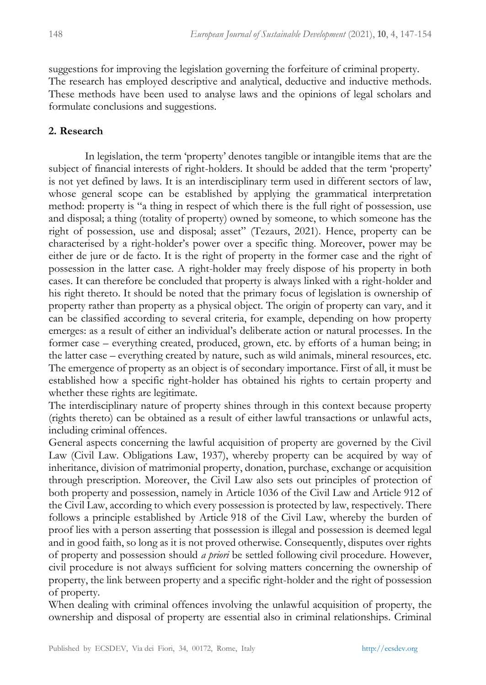suggestions for improving the legislation governing the forfeiture of criminal property. The research has employed descriptive and analytical, deductive and inductive methods. These methods have been used to analyse laws and the opinions of legal scholars and formulate conclusions and suggestions.

#### **2. Research**

In legislation, the term 'property' denotes tangible or intangible items that are the subject of financial interests of right-holders. It should be added that the term 'property' is not yet defined by laws. It is an interdisciplinary term used in different sectors of law, whose general scope can be established by applying the grammatical interpretation method: property is "a thing in respect of which there is the full right of possession, use and disposal; a thing (totality of property) owned by someone, to which someone has the right of possession, use and disposal; asset" (Tezaurs, 2021). Hence, property can be characterised by a right-holder's power over a specific thing. Moreover, power may be either de jure or de facto. It is the right of property in the former case and the right of possession in the latter case. A right-holder may freely dispose of his property in both cases. It can therefore be concluded that property is always linked with a right-holder and his right thereto. It should be noted that the primary focus of legislation is ownership of property rather than property as a physical object. The origin of property can vary, and it can be classified according to several criteria, for example, depending on how property emerges: as a result of either an individual's deliberate action or natural processes. In the former case – everything created, produced, grown, etc. by efforts of a human being; in the latter case – everything created by nature, such as wild animals, mineral resources, etc. The emergence of property as an object is of secondary importance. First of all, it must be established how a specific right-holder has obtained his rights to certain property and whether these rights are legitimate.

The interdisciplinary nature of property shines through in this context because property (rights thereto) can be obtained as a result of either lawful transactions or unlawful acts, including criminal offences.

General aspects concerning the lawful acquisition of property are governed by the Civil Law (Civil Law. Obligations Law, 1937), whereby property can be acquired by way of inheritance, division of matrimonial property, donation, purchase, exchange or acquisition through prescription. Moreover, the Civil Law also sets out principles of protection of both property and possession, namely in Article 1036 of the Civil Law and Article 912 of the Civil Law, according to which every possession is protected by law, respectively. There follows a principle established by Article 918 of the Civil Law, whereby the burden of proof lies with a person asserting that possession is illegal and possession is deemed legal and in good faith, so long as it is not proved otherwise. Consequently, disputes over rights of property and possession should *a priori* be settled following civil procedure. However, civil procedure is not always sufficient for solving matters concerning the ownership of property, the link between property and a specific right-holder and the right of possession of property.

When dealing with criminal offences involving the unlawful acquisition of property, the ownership and disposal of property are essential also in criminal relationships. Criminal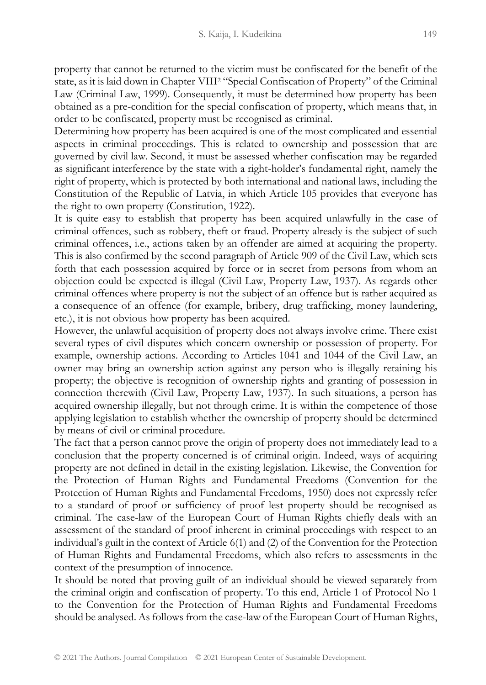property that cannot be returned to the victim must be confiscated for the benefit of the state, as it is laid down in Chapter VIII<sup>2</sup> "Special Confiscation of Property" of the Criminal Law (Criminal Law, 1999). Consequently, it must be determined how property has been obtained as a pre-condition for the special confiscation of property, which means that, in order to be confiscated, property must be recognised as criminal.

Determining how property has been acquired is one of the most complicated and essential aspects in criminal proceedings. This is related to ownership and possession that are governed by civil law. Second, it must be assessed whether confiscation may be regarded as significant interference by the state with a right-holder's fundamental right, namely the right of property, which is protected by both international and national laws, including the Constitution of the Republic of Latvia, in which Article 105 provides that everyone has the right to own property (Constitution, 1922).

It is quite easy to establish that property has been acquired unlawfully in the case of criminal offences, such as robbery, theft or fraud. Property already is the subject of such criminal offences, i.e., actions taken by an offender are aimed at acquiring the property. This is also confirmed by the second paragraph of Article 909 of the Civil Law, which sets forth that each possession acquired by force or in secret from persons from whom an objection could be expected is illegal (Civil Law, Property Law, 1937). As regards other criminal offences where property is not the subject of an offence but is rather acquired as a consequence of an offence (for example, bribery, drug trafficking, money laundering, etc.), it is not obvious how property has been acquired.

However, the unlawful acquisition of property does not always involve crime. There exist several types of civil disputes which concern ownership or possession of property. For example, ownership actions. According to Articles 1041 and 1044 of the Civil Law, an owner may bring an ownership action against any person who is illegally retaining his property; the objective is recognition of ownership rights and granting of possession in connection therewith (Civil Law, Property Law, 1937). In such situations, a person has acquired ownership illegally, but not through crime. It is within the competence of those applying legislation to establish whether the ownership of property should be determined by means of civil or criminal procedure.

The fact that a person cannot prove the origin of property does not immediately lead to a conclusion that the property concerned is of criminal origin. Indeed, ways of acquiring property are not defined in detail in the existing legislation. Likewise, the Convention for the Protection of Human Rights and Fundamental Freedoms (Convention for the Protection of Human Rights and Fundamental Freedoms, 1950) does not expressly refer to a standard of proof or sufficiency of proof lest property should be recognised as criminal. The case-law of the European Court of Human Rights chiefly deals with an assessment of the standard of proof inherent in criminal proceedings with respect to an individual's guilt in the context of Article 6(1) and (2) of the Convention for the Protection of Human Rights and Fundamental Freedoms, which also refers to assessments in the context of the presumption of innocence.

It should be noted that proving guilt of an individual should be viewed separately from the criminal origin and confiscation of property. To this end, Article 1 of Protocol No 1 to the Convention for the Protection of Human Rights and Fundamental Freedoms should be analysed. As follows from the case-law of the European Court of Human Rights,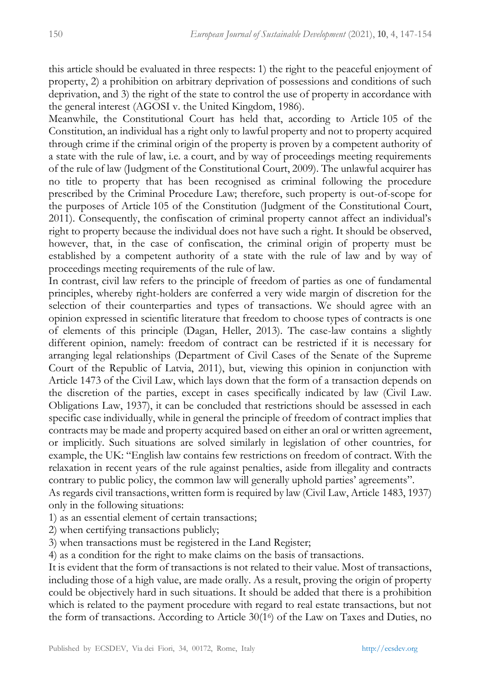this article should be evaluated in three respects: 1) the right to the peaceful enjoyment of property, 2) a prohibition on arbitrary deprivation of possessions and conditions of such deprivation, and 3) the right of the state to control the use of property in accordance with the general interest (AGOSI v. the United Kingdom, 1986).

Meanwhile, the Constitutional Court has held that, according to Article 105 of the Constitution, an individual has a right only to lawful property and not to property acquired through crime if the criminal origin of the property is proven by a competent authority of a state with the rule of law, i.e. a court, and by way of proceedings meeting requirements of the rule of law (Judgment of the Constitutional Court, 2009). The unlawful acquirer has no title to property that has been recognised as criminal following the procedure prescribed by the Criminal Procedure Law; therefore, such property is out-of-scope for the purposes of Article 105 of the Constitution (Judgment of the Constitutional Court, 2011). Consequently, the confiscation of criminal property cannot affect an individual's right to property because the individual does not have such a right. It should be observed, however, that, in the case of confiscation, the criminal origin of property must be established by a competent authority of a state with the rule of law and by way of proceedings meeting requirements of the rule of law.

In contrast, civil law refers to the principle of freedom of parties as one of fundamental principles, whereby right-holders are conferred a very wide margin of discretion for the selection of their counterparties and types of transactions. We should agree with an opinion expressed in scientific literature that freedom to choose types of contracts is one of elements of this principle (Dagan, Heller, 2013). The case-law contains a slightly different opinion, namely: freedom of contract can be restricted if it is necessary for arranging legal relationships (Department of Civil Cases of the Senate of the Supreme Court of the Republic of Latvia, 2011), but, viewing this opinion in conjunction with Article 1473 of the Civil Law, which lays down that the form of a transaction depends on the discretion of the parties, except in cases specifically indicated by law (Civil Law. Obligations Law, 1937), it can be concluded that restrictions should be assessed in each specific case individually, while in general the principle of freedom of contract implies that contracts may be made and property acquired based on either an oral or written agreement, or implicitly. Such situations are solved similarly in legislation of other countries, for example, the UK: "English law contains few restrictions on freedom of contract. With the relaxation in recent years of the rule against penalties, aside from illegality and contracts contrary to public policy, the common law will generally uphold parties' agreements".

As regards civil transactions, written form is required by law (Civil Law, Article 1483, 1937) only in the following situations:

1) as an essential element of certain transactions;

2) when certifying transactions publicly;

3) when transactions must be registered in the Land Register;

4) as a condition for the right to make claims on the basis of transactions.

It is evident that the form of transactions is not related to their value. Most of transactions, including those of a high value, are made orally. As a result, proving the origin of property could be objectively hard in such situations. It should be added that there is a prohibition which is related to the payment procedure with regard to real estate transactions, but not the form of transactions. According to Article 30(1<sup>6</sup> ) of the Law on Taxes and Duties, no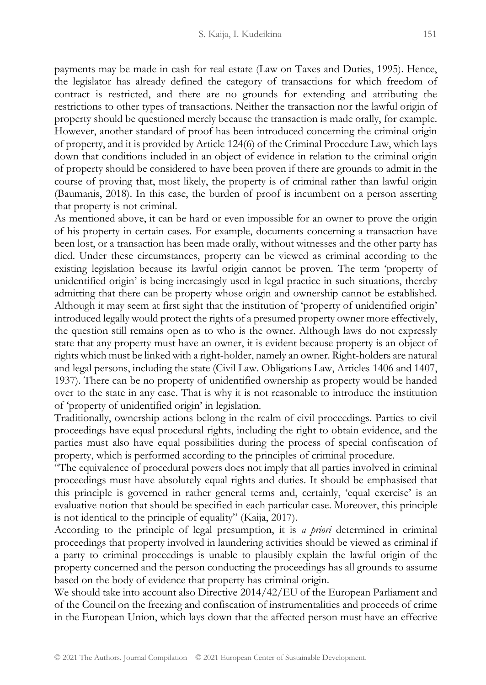payments may be made in cash for real estate (Law on Taxes and Duties, 1995). Hence, the legislator has already defined the category of transactions for which freedom of contract is restricted, and there are no grounds for extending and attributing the restrictions to other types of transactions. Neither the transaction nor the lawful origin of property should be questioned merely because the transaction is made orally, for example. However, another standard of proof has been introduced concerning the criminal origin of property, and it is provided by Article 124(6) of the Criminal Procedure Law, which lays down that conditions included in an object of evidence in relation to the criminal origin of property should be considered to have been proven if there are grounds to admit in the course of proving that, most likely, the property is of criminal rather than lawful origin (Baumanis, 2018). In this case, the burden of proof is incumbent on a person asserting that property is not criminal.

As mentioned above, it can be hard or even impossible for an owner to prove the origin of his property in certain cases. For example, documents concerning a transaction have been lost, or a transaction has been made orally, without witnesses and the other party has died. Under these circumstances, property can be viewed as criminal according to the existing legislation because its lawful origin cannot be proven. The term 'property of unidentified origin' is being increasingly used in legal practice in such situations, thereby admitting that there can be property whose origin and ownership cannot be established. Although it may seem at first sight that the institution of 'property of unidentified origin' introduced legally would protect the rights of a presumed property owner more effectively, the question still remains open as to who is the owner. Although laws do not expressly state that any property must have an owner, it is evident because property is an object of rights which must be linked with a right-holder, namely an owner. Right-holders are natural and legal persons, including the state (Civil Law. Obligations Law, Articles 1406 and 1407, 1937). There can be no property of unidentified ownership as property would be handed over to the state in any case. That is why it is not reasonable to introduce the institution of 'property of unidentified origin' in legislation.

Traditionally, ownership actions belong in the realm of civil proceedings. Parties to civil proceedings have equal procedural rights, including the right to obtain evidence, and the parties must also have equal possibilities during the process of special confiscation of property, which is performed according to the principles of criminal procedure.

"The equivalence of procedural powers does not imply that all parties involved in criminal proceedings must have absolutely equal rights and duties. It should be emphasised that this principle is governed in rather general terms and, certainly, 'equal exercise' is an evaluative notion that should be specified in each particular case. Moreover, this principle is not identical to the principle of equality" (Kaija, 2017).

According to the principle of legal presumption, it is *a priori* determined in criminal proceedings that property involved in laundering activities should be viewed as criminal if a party to criminal proceedings is unable to plausibly explain the lawful origin of the property concerned and the person conducting the proceedings has all grounds to assume based on the body of evidence that property has criminal origin.

We should take into account also Directive 2014/42/EU of the European Parliament and of the Council on the freezing and confiscation of instrumentalities and proceeds of crime in the European Union, which lays down that the affected person must have an effective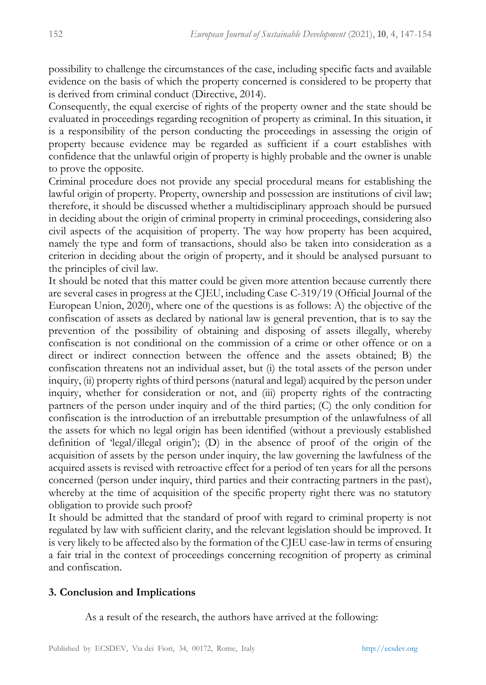possibility to challenge the circumstances of the case, including specific facts and available evidence on the basis of which the property concerned is considered to be property that is derived from criminal conduct (Directive, 2014).

Consequently, the equal exercise of rights of the property owner and the state should be evaluated in proceedings regarding recognition of property as criminal. In this situation, it is a responsibility of the person conducting the proceedings in assessing the origin of property because evidence may be regarded as sufficient if a court establishes with confidence that the unlawful origin of property is highly probable and the owner is unable to prove the opposite.

Criminal procedure does not provide any special procedural means for establishing the lawful origin of property. Property, ownership and possession are institutions of civil law; therefore, it should be discussed whether a multidisciplinary approach should be pursued in deciding about the origin of criminal property in criminal proceedings, considering also civil aspects of the acquisition of property. The way how property has been acquired, namely the type and form of transactions, should also be taken into consideration as a criterion in deciding about the origin of property, and it should be analysed pursuant to the principles of civil law.

It should be noted that this matter could be given more attention because currently there are several cases in progress at the CJEU, including Case C-319/19 (Official Journal of the European Union, 2020), where one of the questions is as follows: A) the objective of the confiscation of assets as declared by national law is general prevention, that is to say the prevention of the possibility of obtaining and disposing of assets illegally, whereby confiscation is not conditional on the commission of a crime or other offence or on a direct or indirect connection between the offence and the assets obtained; B) the confiscation threatens not an individual asset, but (i) the total assets of the person under inquiry, (ii) property rights of third persons (natural and legal) acquired by the person under inquiry, whether for consideration or not, and (iii) property rights of the contracting partners of the person under inquiry and of the third parties; (C) the only condition for confiscation is the introduction of an irrebuttable presumption of the unlawfulness of all the assets for which no legal origin has been identified (without a previously established definition of 'legal/illegal origin'); (D) in the absence of proof of the origin of the acquisition of assets by the person under inquiry, the law governing the lawfulness of the acquired assets is revised with retroactive effect for a period of ten years for all the persons concerned (person under inquiry, third parties and their contracting partners in the past), whereby at the time of acquisition of the specific property right there was no statutory obligation to provide such proof?

It should be admitted that the standard of proof with regard to criminal property is not regulated by law with sufficient clarity, and the relevant legislation should be improved. It is very likely to be affected also by the formation of the CJEU case-law in terms of ensuring a fair trial in the context of proceedings concerning recognition of property as criminal and confiscation.

### **3. Conclusion and Implications**

As a result of the research, the authors have arrived at the following: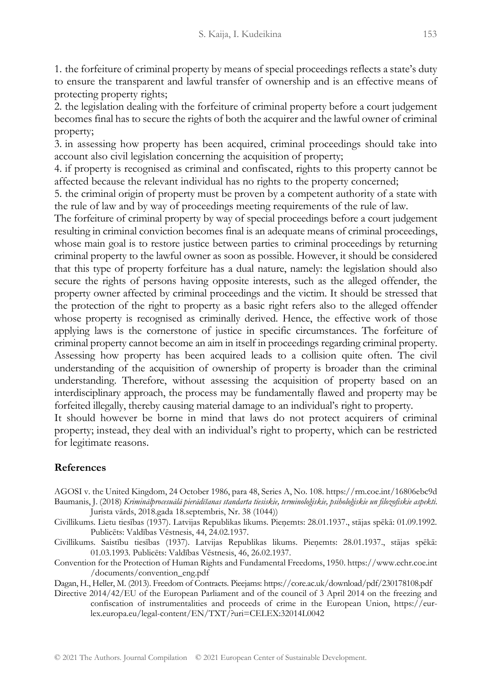1. the forfeiture of criminal property by means of special proceedings reflects a state's duty to ensure the transparent and lawful transfer of ownership and is an effective means of protecting property rights;

2. the legislation dealing with the forfeiture of criminal property before a court judgement becomes final has to secure the rights of both the acquirer and the lawful owner of criminal property;

3. in assessing how property has been acquired, criminal proceedings should take into account also civil legislation concerning the acquisition of property;

4. if property is recognised as criminal and confiscated, rights to this property cannot be affected because the relevant individual has no rights to the property concerned;

5. the criminal origin of property must be proven by a competent authority of a state with the rule of law and by way of proceedings meeting requirements of the rule of law.

The forfeiture of criminal property by way of special proceedings before a court judgement resulting in criminal conviction becomes final is an adequate means of criminal proceedings, whose main goal is to restore justice between parties to criminal proceedings by returning criminal property to the lawful owner as soon as possible. However, it should be considered that this type of property forfeiture has a dual nature, namely: the legislation should also secure the rights of persons having opposite interests, such as the alleged offender, the property owner affected by criminal proceedings and the victim. It should be stressed that the protection of the right to property as a basic right refers also to the alleged offender whose property is recognised as criminally derived. Hence, the effective work of those applying laws is the cornerstone of justice in specific circumstances. The forfeiture of criminal property cannot become an aim in itself in proceedings regarding criminal property. Assessing how property has been acquired leads to a collision quite often. The civil understanding of the acquisition of ownership of property is broader than the criminal understanding. Therefore, without assessing the acquisition of property based on an interdisciplinary approach, the process may be fundamentally flawed and property may be forfeited illegally, thereby causing material damage to an individual's right to property.

It should however be borne in mind that laws do not protect acquirers of criminal property; instead, they deal with an individual's right to property, which can be restricted for legitimate reasons.

## **References**

AGOSI v. the United Kingdom, 24 October 1986, para 48, Series A, No. 108. https://rm.coe.int/16806ebc9d Baumanis, J. (2018) Kriminālprocesuālā pierādīšanas standarta tiesiskie, terminoloģiskie, psiholoģiskie un filozofiskie aspekti. Jurista vārds, 2018.gada 18.septembris, Nr. 38 (1044))

- Civillikums. Lietu tiesības (1937). Latvijas Republikas likums. Pieņemts: 28.01.1937., stājas spēkā: 01.09.1992. Publicēts: Valdības Vēstnesis, 44, 24.02.1937.
- Civillikums. Saistību tiesības (1937). Latvijas Republikas likums. Pieņemts: 28.01.1937., stājas spēkā: 01.03.1993. Publicēts: Valdības Vēstnesis, 46, 26.02.1937.
- Convention for the Protection of Human Rights and Fundamental Freedoms, 1950. https://www.echr.coe.int /documents/convention\_eng.pdf

Dagan, H., Heller, M. (2013). Freedom of Contracts. Pieejams: https://core.ac.uk/download/pdf/230178108.pdf

Directive 2014/42/EU of the European Parliament and of the council of 3 April 2014 on the freezing and confiscation of instrumentalities and proceeds of crime in the European Union, https://eurlex.europa.eu/legal-content/EN/TXT/?uri=CELEX:32014L0042